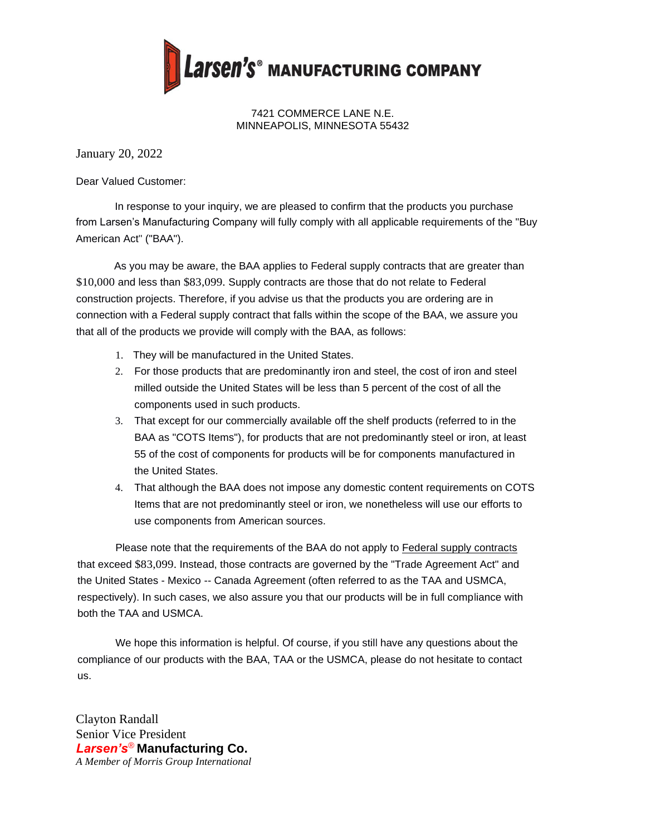

7421 COMMERCE LANE N.E. MINNEAPOLIS, MINNESOTA 55432

January 20, 2022

Dear Valued Customer:

In response to your inquiry, we are pleased to confirm that the products you purchase from Larsen's Manufacturing Company will fully comply with all applicable requirements of the "Buy American Act" ("BAA").

As you may be aware, the BAA applies to Federal supply contracts that are greater than \$10,000 and less than \$83,099. Supply contracts are those that do not relate to Federal construction projects. Therefore, if you advise us that the products you are ordering are in connection with a Federal supply contract that falls within the scope of the BAA, we assure you that all of the products we provide will comply with the BAA, as follows:

- 1. They will be manufactured in the United States.
- 2. For those products that are predominantly iron and steel, the cost of iron and steel milled outside the United States will be less than 5 percent of the cost of all the components used in such products.
- 3. That except for our commercially available off the shelf products (referred to in the BAA as "COTS Items"), for products that are not predominantly steel or iron, at least 55 of the cost of components for products will be for components manufactured in the United States.
- 4. That although the BAA does not impose any domestic content requirements on COTS Items that are not predominantly steel or iron, we nonetheless will use our efforts to use components from American sources.

Please note that the requirements of the BAA do not apply to Federal supply contracts that exceed \$83,099. Instead, those contracts are governed by the "Trade Agreement Act" and the United States - Mexico -- Canada Agreement (often referred to as the TAA and USMCA, respectively). In such cases, we also assure you that our products will be in full compliance with both the TAA and USMCA.

We hope this information is helpful. Of course, if you still have any questions about the compliance of our products with the BAA, TAA or the USMCA, please do not hesitate to contact us.

Clayton Randall Senior Vice President *Larsen's*® **Manufacturing Co.** *A Member of Morris Group International*